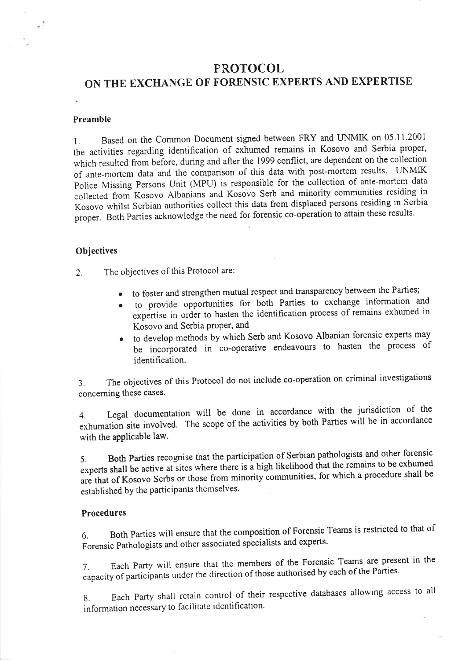# **PROTOCOL** ON THE EXCHANGE OF FORENSIC EXPERTS AND EXPERTISE

## Preamble

1. Based on the Common Document signed between FRY and LINMIK on 05.11.2001 the activities regarding identification of exhumed remains in Kosovo and Serbia proper, which resulted from before, during and after the 1999 conflict, are dependent on the collection of ante-mortem data and the comparison of this data with post-mortem results. UNMIK police Missing persons Unit (MPU) is responsible for the collection of ante-mortem data collected from Kosovo Albanians and Kosovo Serb and minority communities residing in Kosovo whilst Serbian authorities collect this data from displaced persons residing in Serbia proper. Both Parties acknowledge the need for forensic co-operation to attain these results.

# **Objectives**

2. The objectives of this Protocol are:

- . to foster and strengthen mutual respect and transparency between the Parties;
- . to provide opportunities for both Parties to exchange information and expertise in order to hasten the identification process of remains exhumed in Kosovo and Serbia proper, and
- o to develop methods by which Serb and Kosovo Albanian forensic experts may be incorporated in co-operative endeavours to hasten the process of identification.

3. The objectives of this Protocol do not include co-operation on criminal investigations concerning these cases.

4. Legal documentation will be done in accordance with the jurisdiction of the exhumation site involved. The scope of the activities by both Parties will be in accordance with the applicable law.

5. Both parties recognise that the participation of Serbian pathologists and other forensic experts shall be active at sites where there is a high likelihood that the remains to be exhumed are that of Kosovo Serbs or those from minority communities, for which a procedure shall be established by the participants themselves.

# Procedures

6. Both parties will ensure that the composition of Forensic Teams is restricted to that of Forensic Pathologists and other associated specialists and experts.

7. Each Party wiil ensure that the members of the Forensic Teams are present in the capacity of participants under the direction of those authorised by each of the Parties.

8. Each Party shall retain control of their respective databases allowing access to all information necessary to facilitate identification'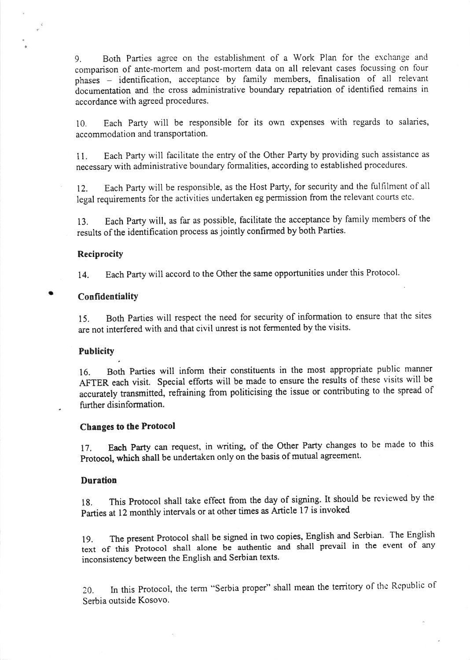9. Both Parties agree on the establishment of a Work Plan for the exchange and comparison of ante-mortem and post-mortem data on all relevant cases focussing on four  $phases$  - identification, acceptance by family members, finalisation of all relevant documentation and the cross administrative boundary repatriation of identified remains in accordance with agreed procedures.

10. Each Party will be responsible for its own expenses with regards to salaries, accommodation and transportation.

<sup>I</sup>L Each Party will facilitate the entry of the Other Parfy by providing such assistance as necessary with administrative boundary formalities, according to established procedures.

12. Each Party will be responsible, as the Host Party, for security and the fulfilment of all legal requirements for the activities undertaken eg permission from the relevant courts etc.

13. Each Partywill, as far as possible, facilitate the acceptance by family members of the results of the identification process as jointly confirmed by both Parties.

# **Reciprocity**

14. Each Party will accord to the Other the same opportunities under this Protocol.

Confidentiality

15. Both Parties will respect the need for security of information to ensure that the sites are not interfered with and that civil unrest is not fermented by the visits.

## **Publicity**

16. Both Parties will inform their constituents in the most appropriate public manner AFTER each visit. Special efforts will be made to ensure the results of these visits will be accurately transmitted, refraining from politicising the issue or contributing to the spread of further disinformation.

## Changes to the Protocol

.

17. Each Party can request, in writing, of the Other Party changes to be made to this Protocol, which shall be undertaken only on the basis of mutual agreement.

# Duration

1g. This protocol shall take effect from the day of signing. It should be reviewed by the Parties at 12 monthly intervals or at other times as Article 17 is invoked

19. The present Protocol shatl be signed in two copies, English and Serbian' The English text of this protocol shall alone be authentic and shall prevail in the event of any inconsistency between the English and Serbian texts.

20. In this Protocol, the term "Serbia proper" shall mean the territory of the Republic of Serbia outside Kosovo.